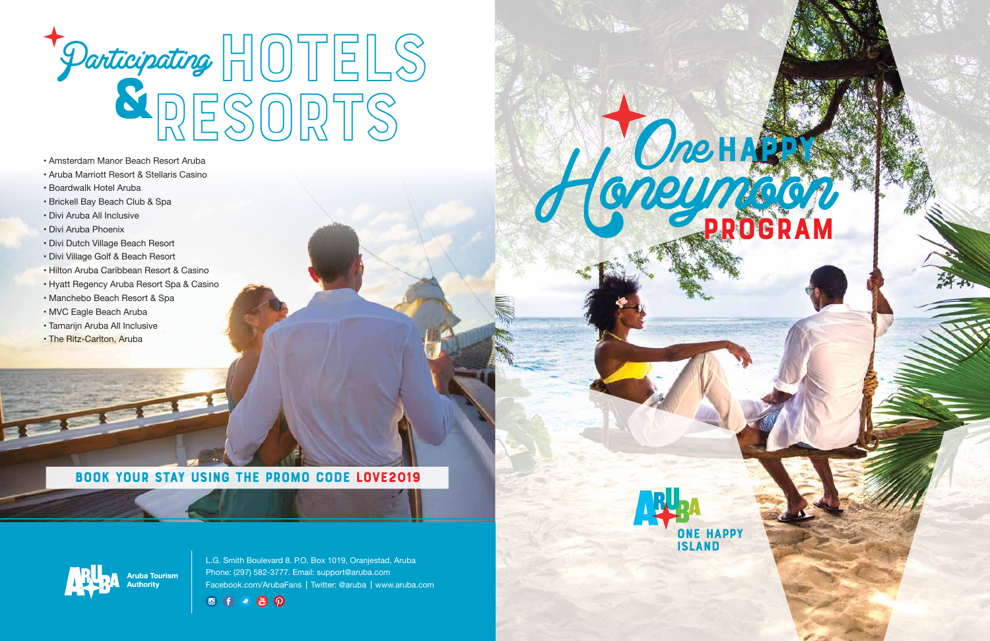

L.G. Smith Boulevard 8. P.O. Box 1019, Oranjestad, Aruba Phone: (297) 582-3777. Email: support@aruba.com Facebook.com/ArubaFans | Twitter: @aruba | www.aruba.com



- 
- Aruba Marriott Resort & Stellaris Casino
- Boardwalk Hotel Aruba
- Brickell Bay Beach Club & Spa
- Divi Aruba All Inclusive
- Divi Aruba Phoenix
- Divi Dutch Village Beach Resort
- Divi Village Golf & Beach Resort
- Hilton Aruba Caribbean Resort & Casino
- Hyatt Regency Aruba Resort Spa & Casino
- Manchebo Beach Resort & Spa
- MVC Eagle Beach Aruba
- Tamarijn Aruba All Inclusive
- The Ritz-Carlton, Aruba

# $\begin{array}{c} \begin{array}{|c|c|c|}\hline \text{N} & \text{S} & \text{O} & \text{N} & \text{O}\ \hline \end{array} \end{array}$ <br>• Amsterdam Manor Beach Resort Aruba<br>• Aruba Marriott Resort & Stellaris Casino HOTELS & resorts Participating

Honeymoon PROGRAM

#### BOOK YOUR STAY USING THE PROMO CODE LOVE2019